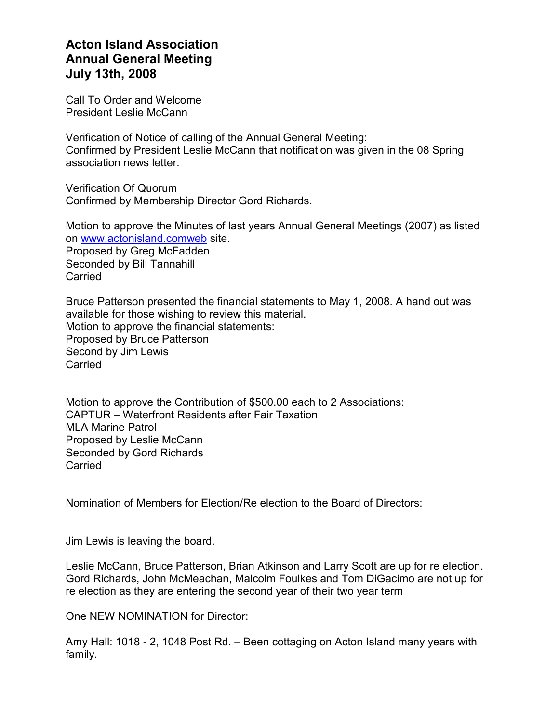## Acton Island Association Annual General Meeting July 13th, 2008

Call To Order and Welcome President Leslie McCann

Verification of Notice of calling of the Annual General Meeting: Confirmed by President Leslie McCann that notification was given in the 08 Spring association news letter.

Verification Of Quorum Confirmed by Membership Director Gord Richards.

Motion to approve the Minutes of last years Annual General Meetings (2007) as listed on www.actonisland.comweb site. Proposed by Greg McFadden Seconded by Bill Tannahill **Carried** 

Bruce Patterson presented the financial statements to May 1, 2008. A hand out was available for those wishing to review this material. Motion to approve the financial statements: Proposed by Bruce Patterson Second by Jim Lewis Carried

Motion to approve the Contribution of \$500.00 each to 2 Associations: CAPTUR – Waterfront Residents after Fair Taxation MLA Marine Patrol Proposed by Leslie McCann Seconded by Gord Richards **Carried** 

Nomination of Members for Election/Re election to the Board of Directors:

Jim Lewis is leaving the board.

Leslie McCann, Bruce Patterson, Brian Atkinson and Larry Scott are up for re election. Gord Richards, John McMeachan, Malcolm Foulkes and Tom DiGacimo are not up for re election as they are entering the second year of their two year term

One NEW NOMINATION for Director:

Amy Hall: 1018 - 2, 1048 Post Rd. – Been cottaging on Acton Island many years with family.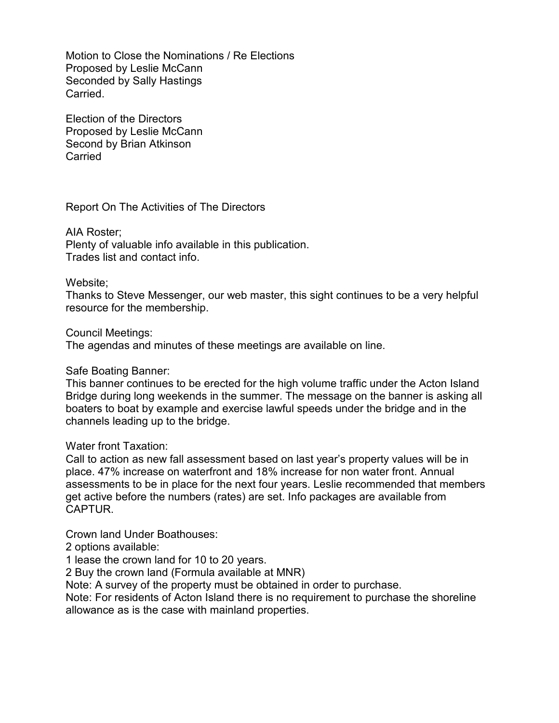Motion to Close the Nominations / Re Elections Proposed by Leslie McCann Seconded by Sally Hastings Carried.

Election of the Directors Proposed by Leslie McCann Second by Brian Atkinson **Carried** 

Report On The Activities of The Directors

AIA Roster; Plenty of valuable info available in this publication. Trades list and contact info.

## Website;

Thanks to Steve Messenger, our web master, this sight continues to be a very helpful resource for the membership.

Council Meetings:

The agendas and minutes of these meetings are available on line.

## Safe Boating Banner:

This banner continues to be erected for the high volume traffic under the Acton Island Bridge during long weekends in the summer. The message on the banner is asking all boaters to boat by example and exercise lawful speeds under the bridge and in the channels leading up to the bridge.

Water front Taxation:

Call to action as new fall assessment based on last year's property values will be in place. 47% increase on waterfront and 18% increase for non water front. Annual assessments to be in place for the next four years. Leslie recommended that members get active before the numbers (rates) are set. Info packages are available from CAPTUR.

Crown land Under Boathouses:

2 options available:

1 lease the crown land for 10 to 20 years.

2 Buy the crown land (Formula available at MNR)

Note: A survey of the property must be obtained in order to purchase.

Note: For residents of Acton Island there is no requirement to purchase the shoreline allowance as is the case with mainland properties.